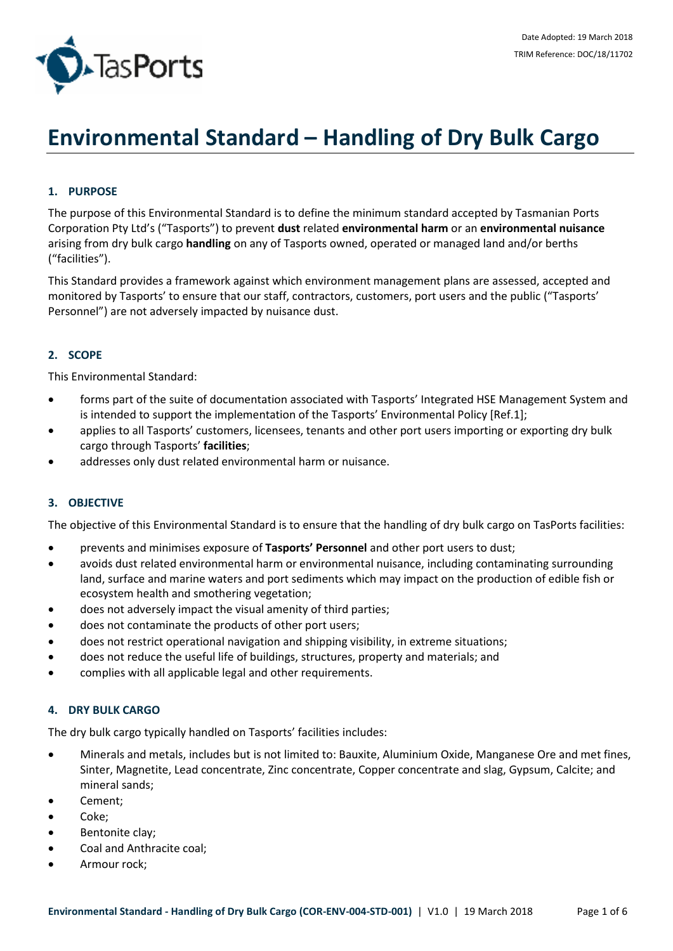

# **Environmental Standard – Handling of Dry Bulk Cargo**

# **1. PURPOSE**

The purpose of this Environmental Standard is to define the minimum standard accepted by Tasmanian Ports Corporation Pty Ltd's ("Tasports") to prevent **dust** related **environmental harm** or an **environmental nuisance** arising from dry bulk cargo **handling** on any of Tasports owned, operated or managed land and/or berths ("facilities").

This Standard provides a framework against which environment management plans are assessed, accepted and monitored by Tasports' to ensure that our staff, contractors, customers, port users and the public ("Tasports' Personnel") are not adversely impacted by nuisance dust.

# **2. SCOPE**

This Environmental Standard:

- forms part of the suite of documentation associated with Tasports' Integrated HSE Management System and is intended to support the implementation of the Tasports' Environmental Policy [Ref.1];
- applies to all Tasports' customers, licensees, tenants and other port users importing or exporting dry bulk cargo through Tasports' **facilities**;
- addresses only dust related environmental harm or nuisance.

## **3. OBJECTIVE**

The objective of this Environmental Standard is to ensure that the handling of dry bulk cargo on TasPorts facilities:

- prevents and minimises exposure of **Tasports' Personnel** and other port users to dust;
- avoids dust related environmental harm or environmental nuisance, including contaminating surrounding land, surface and marine waters and port sediments which may impact on the production of edible fish or ecosystem health and smothering vegetation;
- does not adversely impact the visual amenity of third parties;
- does not contaminate the products of other port users;
- does not restrict operational navigation and shipping visibility, in extreme situations;
- does not reduce the useful life of buildings, structures, property and materials; and
- complies with all applicable legal and other requirements.

#### **4. DRY BULK CARGO**

The dry bulk cargo typically handled on Tasports' facilities includes:

- Minerals and metals, includes but is not limited to: Bauxite, Aluminium Oxide, Manganese Ore and met fines, Sinter, Magnetite, Lead concentrate, Zinc concentrate, Copper concentrate and slag, Gypsum, Calcite; and mineral sands;
- Cement;
- Coke;
- Bentonite clay;
- Coal and Anthracite coal;
- Armour rock;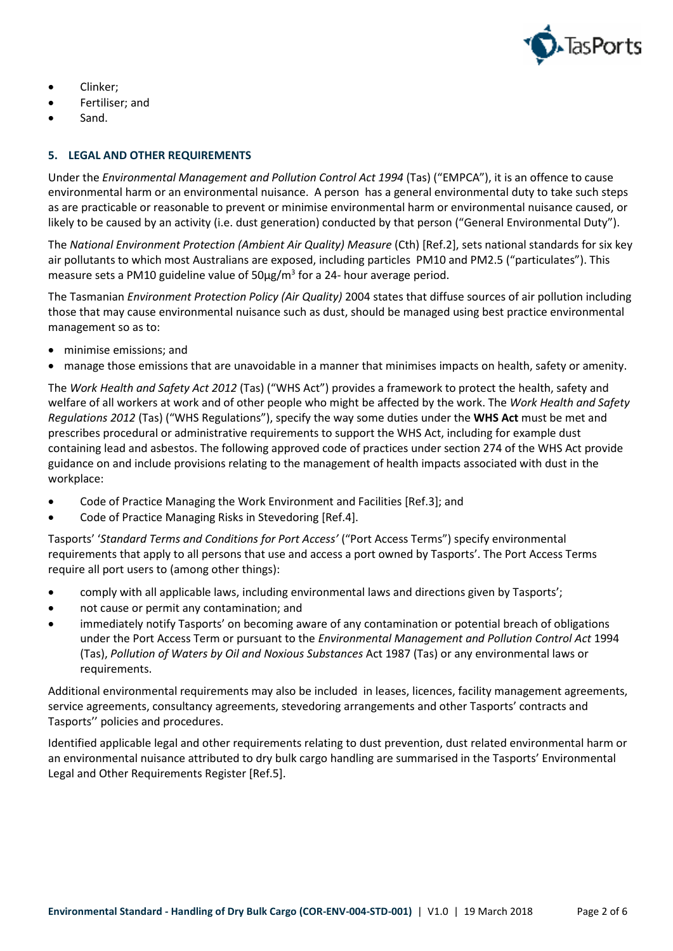

- Clinker;
- Fertiliser; and
- Sand.

## **5. LEGAL AND OTHER REQUIREMENTS**

Under the *Environmental Management and Pollution Control Act 1994* (Tas) ("EMPCA"), it is an offence to cause environmental harm or an environmental nuisance. A person has a general environmental duty to take such steps as are practicable or reasonable to prevent or minimise environmental harm or environmental nuisance caused, or likely to be caused by an activity (i.e. dust generation) conducted by that person ("General Environmental Duty").

The *National Environment Protection (Ambient Air Quality) Measure* (Cth) [Ref.2], sets national standards for six key air pollutants to which most Australians are exposed, including particles PM10 and PM2.5 ("particulates"). This measure sets a PM10 guideline value of  $50\mu g/m^3$  for a 24- hour average period.

The Tasmanian *Environment Protection Policy (Air Quality)* 2004 states that diffuse sources of air pollution including those that may cause environmental nuisance such as dust, should be managed using best practice environmental management so as to:

- minimise emissions; and
- manage those emissions that are unavoidable in a manner that minimises impacts on health, safety or amenity.

The *Work Health and Safety Act 2012* (Tas) ("WHS Act") provides a framework to protect the health, safety and welfare of all workers at work and of other people who might be affected by the work. The *Work Health and Safety Regulations 2012* (Tas) ("WHS Regulations"), specify the way some duties under the **WHS Act** must be met and prescribes procedural or administrative requirements to support the WHS Act, including for example dust containing lead and asbestos. The following approved code of practices under section 274 of the WHS Act provide guidance on and include provisions relating to the management of health impacts associated with dust in the workplace:

- Code of Practice Managing the Work Environment and Facilities [Ref.3]; and
- Code of Practice Managing Risks in Stevedoring [Ref.4].

Tasports' '*Standard Terms and Conditions for Port Access'* ("Port Access Terms") specify environmental requirements that apply to all persons that use and access a port owned by Tasports'. The Port Access Terms require all port users to (among other things):

- comply with all applicable laws, including environmental laws and directions given by Tasports';
- not cause or permit any contamination; and
- immediately notify Tasports' on becoming aware of any contamination or potential breach of obligations under the Port Access Term or pursuant to the *Environmental Management and Pollution Control Act* 1994 (Tas), *Pollution of Waters by Oil and Noxious Substances* Act 1987 (Tas) or any environmental laws or requirements.

Additional environmental requirements may also be included in leases, licences, facility management agreements, service agreements, consultancy agreements, stevedoring arrangements and other Tasports' contracts and Tasports'' policies and procedures.

Identified applicable legal and other requirements relating to dust prevention, dust related environmental harm or an environmental nuisance attributed to dry bulk cargo handling are summarised in the Tasports' Environmental Legal and Other Requirements Register [Ref.5].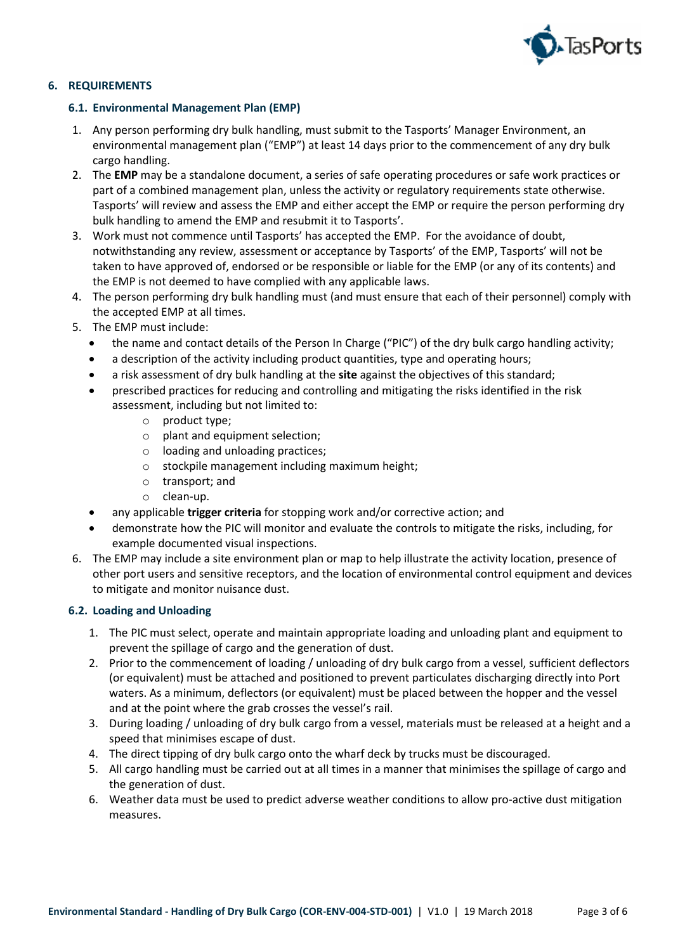

# **6. REQUIREMENTS**

## **6.1. Environmental Management Plan (EMP)**

- 1. Any person performing dry bulk handling, must submit to the Tasports' Manager Environment, an environmental management plan ("EMP") at least 14 days prior to the commencement of any dry bulk cargo handling.
- 2. The **EMP** may be a standalone document, a series of safe operating procedures or safe work practices or part of a combined management plan, unless the activity or regulatory requirements state otherwise. Tasports' will review and assess the EMP and either accept the EMP or require the person performing dry bulk handling to amend the EMP and resubmit it to Tasports'.
- 3. Work must not commence until Tasports' has accepted the EMP. For the avoidance of doubt, notwithstanding any review, assessment or acceptance by Tasports' of the EMP, Tasports' will not be taken to have approved of, endorsed or be responsible or liable for the EMP (or any of its contents) and the EMP is not deemed to have complied with any applicable laws.
- 4. The person performing dry bulk handling must (and must ensure that each of their personnel) comply with the accepted EMP at all times.
- 5. The EMP must include:
	- the name and contact details of the Person In Charge ("PIC") of the dry bulk cargo handling activity;
	- a description of the activity including product quantities, type and operating hours;
	- a risk assessment of dry bulk handling at the **site** against the objectives of this standard;
	- prescribed practices for reducing and controlling and mitigating the risks identified in the risk assessment, including but not limited to:
		- o product type;
		- o plant and equipment selection;
		- o loading and unloading practices;
		- o stockpile management including maximum height;
		- o transport; and
		- o clean-up.
	- any applicable **trigger criteria** for stopping work and/or corrective action; and
	- demonstrate how the PIC will monitor and evaluate the controls to mitigate the risks, including, for example documented visual inspections.
- 6. The EMP may include a site environment plan or map to help illustrate the activity location, presence of other port users and sensitive receptors, and the location of environmental control equipment and devices to mitigate and monitor nuisance dust.

## **6.2. Loading and Unloading**

- 1. The PIC must select, operate and maintain appropriate loading and unloading plant and equipment to prevent the spillage of cargo and the generation of dust.
- 2. Prior to the commencement of loading / unloading of dry bulk cargo from a vessel, sufficient deflectors (or equivalent) must be attached and positioned to prevent particulates discharging directly into Port waters. As a minimum, deflectors (or equivalent) must be placed between the hopper and the vessel and at the point where the grab crosses the vessel's rail.
- 3. During loading / unloading of dry bulk cargo from a vessel, materials must be released at a height and a speed that minimises escape of dust.
- 4. The direct tipping of dry bulk cargo onto the wharf deck by trucks must be discouraged.
- 5. All cargo handling must be carried out at all times in a manner that minimises the spillage of cargo and the generation of dust.
- 6. Weather data must be used to predict adverse weather conditions to allow pro-active dust mitigation measures.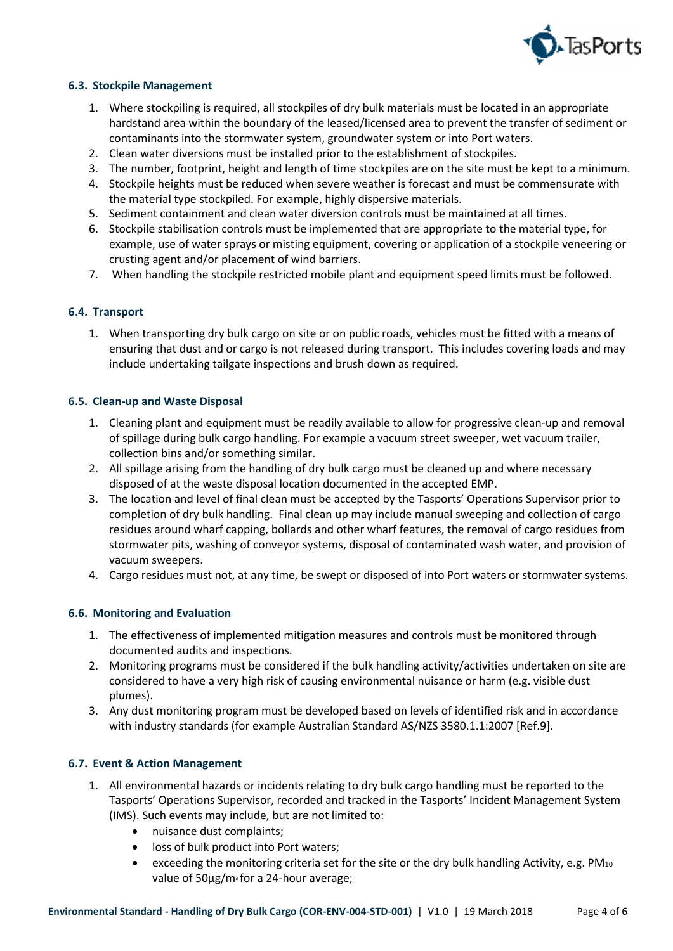

## **6.3. Stockpile Management**

- 1. Where stockpiling is required, all stockpiles of dry bulk materials must be located in an appropriate hardstand area within the boundary of the leased/licensed area to prevent the transfer of sediment or contaminants into the stormwater system, groundwater system or into Port waters.
- 2. Clean water diversions must be installed prior to the establishment of stockpiles.
- 3. The number, footprint, height and length of time stockpiles are on the site must be kept to a minimum.
- 4. Stockpile heights must be reduced when severe weather is forecast and must be commensurate with the material type stockpiled. For example, highly dispersive materials.
- 5. Sediment containment and clean water diversion controls must be maintained at all times.
- 6. Stockpile stabilisation controls must be implemented that are appropriate to the material type, for example, use of water sprays or misting equipment, covering or application of a stockpile veneering or crusting agent and/or placement of wind barriers.
- 7. When handling the stockpile restricted mobile plant and equipment speed limits must be followed.

## **6.4. Transport**

1. When transporting dry bulk cargo on site or on public roads, vehicles must be fitted with a means of ensuring that dust and or cargo is not released during transport. This includes covering loads and may include undertaking tailgate inspections and brush down as required.

## **6.5. Clean-up and Waste Disposal**

- 1. Cleaning plant and equipment must be readily available to allow for progressive clean-up and removal of spillage during bulk cargo handling. For example a vacuum street sweeper, wet vacuum trailer, collection bins and/or something similar.
- 2. All spillage arising from the handling of dry bulk cargo must be cleaned up and where necessary disposed of at the waste disposal location documented in the accepted EMP.
- 3. The location and level of final clean must be accepted by the Tasports' Operations Supervisor prior to completion of dry bulk handling. Final clean up may include manual sweeping and collection of cargo residues around wharf capping, bollards and other wharf features, the removal of cargo residues from stormwater pits, washing of conveyor systems, disposal of contaminated wash water, and provision of vacuum sweepers.
- 4. Cargo residues must not, at any time, be swept or disposed of into Port waters or stormwater systems.

## **6.6. Monitoring and Evaluation**

- 1. The effectiveness of implemented mitigation measures and controls must be monitored through documented audits and inspections.
- 2. Monitoring programs must be considered if the bulk handling activity/activities undertaken on site are considered to have a very high risk of causing environmental nuisance or harm (e.g. visible dust plumes).
- 3. Any dust monitoring program must be developed based on levels of identified risk and in accordance with industry standards (for example Australian Standard AS/NZS 3580.1.1:2007 [Ref.9].

## **6.7. Event & Action Management**

- 1. All environmental hazards or incidents relating to dry bulk cargo handling must be reported to the Tasports' Operations Supervisor, recorded and tracked in the Tasports' Incident Management System (IMS). Such events may include, but are not limited to:
	- nuisance dust complaints;
	- loss of bulk product into Port waters;
	- exceeding the monitoring criteria set for the site or the dry bulk handling Activity, e.g. PM10 value of  $50\mu g/m$ <sup>3</sup> for a 24-hour average;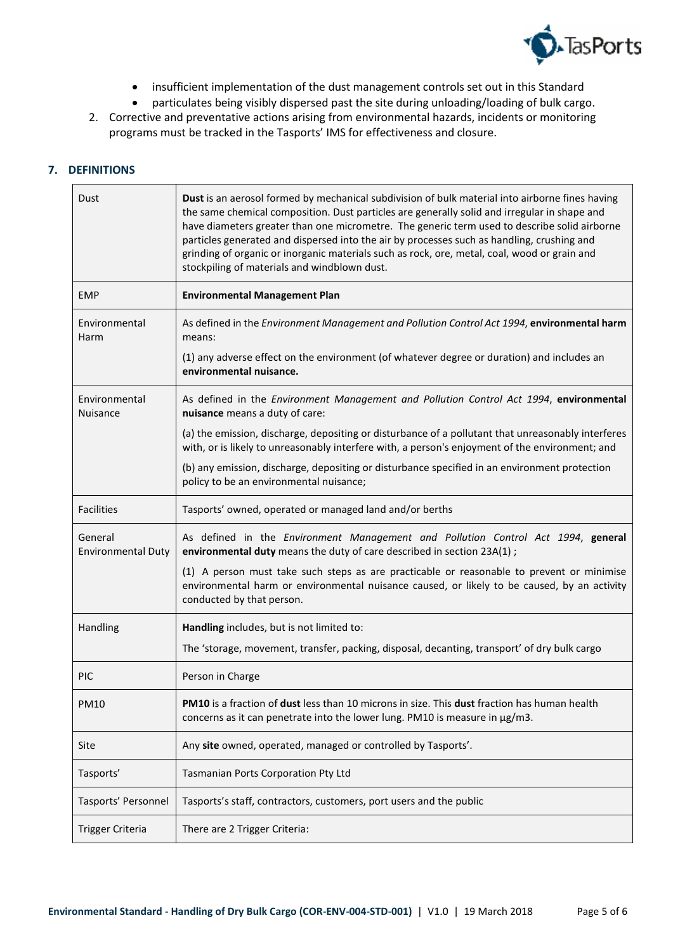

- insufficient implementation of the dust management controls set out in this Standard
- particulates being visibly dispersed past the site during unloading/loading of bulk cargo.
- 2. Corrective and preventative actions arising from environmental hazards, incidents or monitoring programs must be tracked in the Tasports' IMS for effectiveness and closure.

# **7. DEFINITIONS**

 $\mathbf{r}$ 

| Dust                                 | Dust is an aerosol formed by mechanical subdivision of bulk material into airborne fines having<br>the same chemical composition. Dust particles are generally solid and irregular in shape and<br>have diameters greater than one micrometre. The generic term used to describe solid airborne<br>particles generated and dispersed into the air by processes such as handling, crushing and<br>grinding of organic or inorganic materials such as rock, ore, metal, coal, wood or grain and<br>stockpiling of materials and windblown dust. |
|--------------------------------------|-----------------------------------------------------------------------------------------------------------------------------------------------------------------------------------------------------------------------------------------------------------------------------------------------------------------------------------------------------------------------------------------------------------------------------------------------------------------------------------------------------------------------------------------------|
| <b>EMP</b>                           | <b>Environmental Management Plan</b>                                                                                                                                                                                                                                                                                                                                                                                                                                                                                                          |
| Environmental<br>Harm                | As defined in the Environment Management and Pollution Control Act 1994, environmental harm<br>means:                                                                                                                                                                                                                                                                                                                                                                                                                                         |
|                                      | (1) any adverse effect on the environment (of whatever degree or duration) and includes an<br>environmental nuisance.                                                                                                                                                                                                                                                                                                                                                                                                                         |
| Environmental<br>Nuisance            | As defined in the Environment Management and Pollution Control Act 1994, environmental<br>nuisance means a duty of care:                                                                                                                                                                                                                                                                                                                                                                                                                      |
|                                      | (a) the emission, discharge, depositing or disturbance of a pollutant that unreasonably interferes<br>with, or is likely to unreasonably interfere with, a person's enjoyment of the environment; and                                                                                                                                                                                                                                                                                                                                         |
|                                      | (b) any emission, discharge, depositing or disturbance specified in an environment protection<br>policy to be an environmental nuisance;                                                                                                                                                                                                                                                                                                                                                                                                      |
| <b>Facilities</b>                    | Tasports' owned, operated or managed land and/or berths                                                                                                                                                                                                                                                                                                                                                                                                                                                                                       |
| General<br><b>Environmental Duty</b> | As defined in the Environment Management and Pollution Control Act 1994, general<br>environmental duty means the duty of care described in section 23A(1);                                                                                                                                                                                                                                                                                                                                                                                    |
|                                      | (1) A person must take such steps as are practicable or reasonable to prevent or minimise<br>environmental harm or environmental nuisance caused, or likely to be caused, by an activity<br>conducted by that person.                                                                                                                                                                                                                                                                                                                         |
| Handling                             | Handling includes, but is not limited to:                                                                                                                                                                                                                                                                                                                                                                                                                                                                                                     |
|                                      | The 'storage, movement, transfer, packing, disposal, decanting, transport' of dry bulk cargo                                                                                                                                                                                                                                                                                                                                                                                                                                                  |
| <b>PIC</b>                           | Person in Charge                                                                                                                                                                                                                                                                                                                                                                                                                                                                                                                              |
| <b>PM10</b>                          | PM10 is a fraction of dust less than 10 microns in size. This dust fraction has human health<br>concerns as it can penetrate into the lower lung. PM10 is measure in µg/m3.                                                                                                                                                                                                                                                                                                                                                                   |
| Site                                 | Any site owned, operated, managed or controlled by Tasports'.                                                                                                                                                                                                                                                                                                                                                                                                                                                                                 |
| Tasports'                            | Tasmanian Ports Corporation Pty Ltd                                                                                                                                                                                                                                                                                                                                                                                                                                                                                                           |
| Tasports' Personnel                  | Tasports's staff, contractors, customers, port users and the public                                                                                                                                                                                                                                                                                                                                                                                                                                                                           |
| Trigger Criteria                     | There are 2 Trigger Criteria:                                                                                                                                                                                                                                                                                                                                                                                                                                                                                                                 |